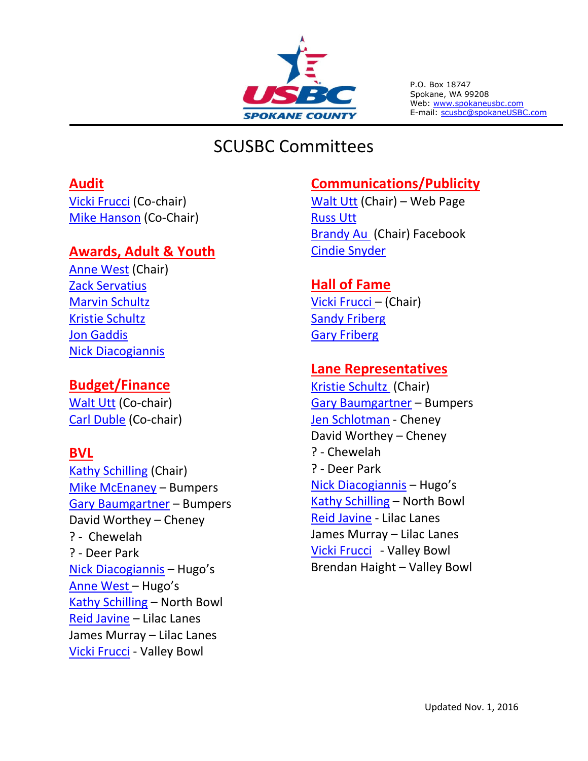

P.O. Box 18747 Spokane, WA 99208 Web: www.spokaneusbc.com E-mail: scusbc@spokaneUSBC.com

# SCUSBC Committees

#### **Audit**

Vicki Frucci (Co-chair) Mike Hanson (Co-Chair)

#### **Awards, Adult & Youth**

Anne West (Chair) Zack Servatius Marvin Schultz Kristie Schultz Jon Gaddis Nick Diacogiannis

# **Budget/Finance**

Walt Utt (Co-chair) Carl Duble (Co-chair)

# **BVL**

Kathy Schilling (Chair) Mike McEnaney – Bumpers Gary Baumgartner – Bumpers David Worthey – Cheney ? - Chewelah ? - Deer Park Nick Diacogiannis – Hugo's Anne West – Hugo's Kathy Schilling – North Bowl Reid Javine – Lilac Lanes James Murray – Lilac Lanes Vicki Frucci - Valley Bowl

# **Communications/Publicity**

Walt Utt (Chair) – Web Page Russ Utt Brandy Au (Chair) Facebook Cindie Snyder

# **Hall of Fame**

Vicki Frucci – (Chair) Sandy Friberg Gary Friberg

#### **Lane Representatives**

Kristie Schultz (Chair) Gary Baumgartner – Bumpers Jen Schlotman - Cheney David Worthey – Cheney ? - Chewelah ? - Deer Park Nick Diacogiannis – Hugo's Kathy Schilling – North Bowl Reid Javine - Lilac Lanes James Murray – Lilac Lanes Vicki Frucci - Valley Bowl Brendan Haight – Valley Bowl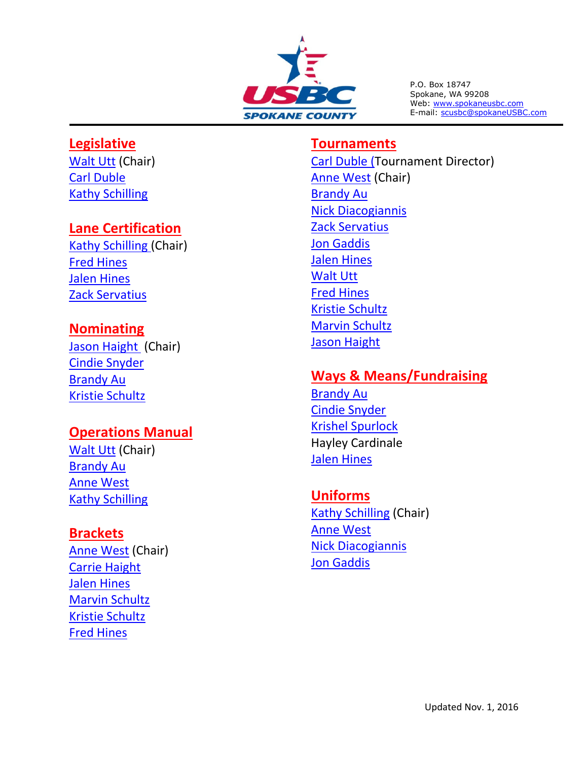

P.O. Box 18747 Spokane, WA 99208 Web: <u>www.spokaneusbc.com</u> E-mail: scusbc@spokaneUSBC.com

#### **Legislative**

**Walt Utt (Chair)** Carl Duble Kathy Schilling

#### **Lane Certification**

Kathy Schilling (Chair) Fred Hines Jalen Hines Zack Servatius

#### **Nominating**

Jason Haight (Chair) Cindie Snyder Brandy Au Kristie Schultz

#### **Operations Manual**

**Walt Utt (Chair)** Brandy Au Anne West Kathy Schilling

#### **Brackets**

Anne West (Chair) Carrie Haight Jalen Hines Marvin Schultz Kristie Schultz Fred Hines

#### **Tournaments**

Carl Duble (Tournament Director) Anne West (Chair) Brandy Au Nick Diacogiannis Zack Servatius Jon Gaddis Jalen Hines Walt Utt Fred Hines Kristie Schultz Marvin Schultz Jason Haight

### **Ways & Means/Fundraising**

Brandy Au Cindie Snyder Krishel Spurlock Hayley Cardinale Jalen Hines

#### **Uniforms**

Kathy Schilling (Chair) Anne West Nick Diacogiannis Jon Gaddis